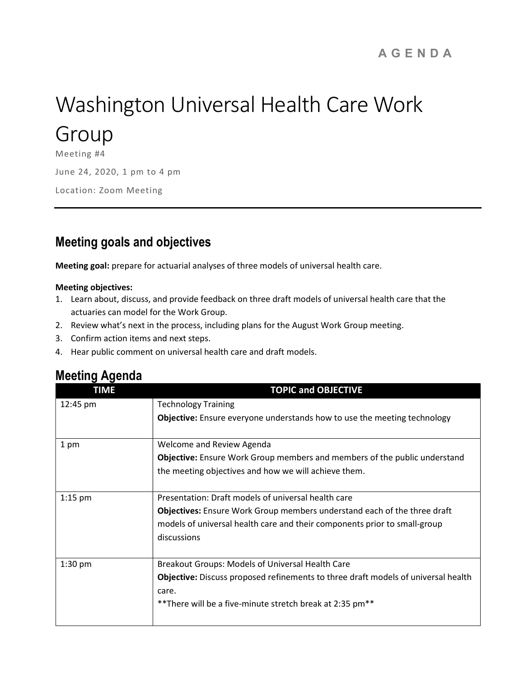# Washington Universal Health Care Work

## Group

Meeting #4 June 24, 2020, 1 pm to 4 pm Location: Zoom Meeting

### Meeting goals and objectives

Meeting goal: prepare for actuarial analyses of three models of universal health care.

#### Meeting objectives:

- 1. Learn about, discuss, and provide feedback on three draft models of universal health care that the actuaries can model for the Work Group.
- 2. Review what's next in the process, including plans for the August Work Group meeting.
- 3. Confirm action items and next steps.
- 4. Hear public comment on universal health care and draft models.

#### Meeting Agenda

| <b>TIME</b> | <b>TOPIC and OBJECTIVE</b>                                                               |
|-------------|------------------------------------------------------------------------------------------|
| 12:45 pm    | <b>Technology Training</b>                                                               |
|             | <b>Objective:</b> Ensure everyone understands how to use the meeting technology          |
| 1 pm        | Welcome and Review Agenda                                                                |
|             | <b>Objective:</b> Ensure Work Group members and members of the public understand         |
|             | the meeting objectives and how we will achieve them.                                     |
| $1:15$ pm   | Presentation: Draft models of universal health care                                      |
|             | <b>Objectives:</b> Ensure Work Group members understand each of the three draft          |
|             | models of universal health care and their components prior to small-group                |
|             | discussions                                                                              |
| $1:30$ pm   | Breakout Groups: Models of Universal Health Care                                         |
|             | <b>Objective:</b> Discuss proposed refinements to three draft models of universal health |
|             | care.                                                                                    |
|             | ** There will be a five-minute stretch break at 2:35 pm**                                |